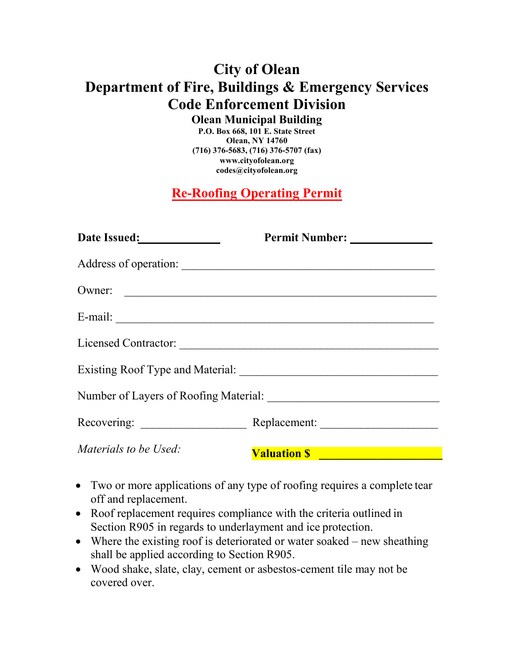## **City of Olean Department of Fire, Buildings & Emergency Services Code Enforcement Division**

**Olean Municipal Building**

**P.O. Box 668, 101 E. State Street Olean, NY 14760 (716) 376-5683, (716) 376-5707 (fax) www.cityofolean.org codes@cityofolean.org**

**Re-Roofing Operating Permit**

| Date Issued: <u>New York: New York: New York: New York: New York: New York: New York: New York: New York: New York: New York: New York: New York: New York: New York: New York: New York: New York: New York: New York: New York</u> |                       |
|--------------------------------------------------------------------------------------------------------------------------------------------------------------------------------------------------------------------------------------|-----------------------|
|                                                                                                                                                                                                                                      | Address of operation: |
| Owner:                                                                                                                                                                                                                               |                       |
|                                                                                                                                                                                                                                      |                       |
|                                                                                                                                                                                                                                      | Licensed Contractor:  |
|                                                                                                                                                                                                                                      |                       |
|                                                                                                                                                                                                                                      |                       |
|                                                                                                                                                                                                                                      |                       |
| Materials to be Used:                                                                                                                                                                                                                | <b>Valuation \$</b>   |

- Two or more applications of any type of roofing requires a complete tear off and replacement.
- Roof replacement requires compliance with the criteria outlined in Section R905 in regards to underlayment and ice protection.
- Where the existing roof is deteriorated or water soaked new sheathing shall be applied according to Section R905.
- Wood shake, slate, clay, cement or asbestos-cement tile may not be covered over.